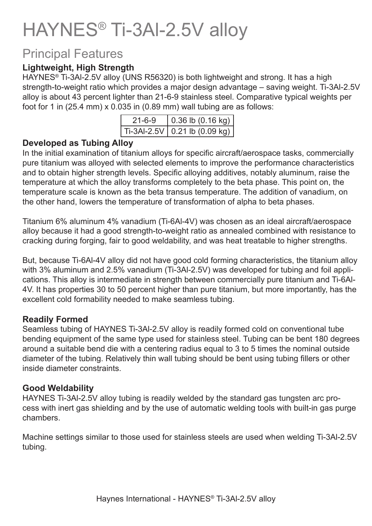# HAYNES® Ti-3Al-2.5V alloy

### Principal Features

### **Lightweight, High Strength**

HAYNES® Ti-3Al-2.5V alloy (UNS R56320) is both lightweight and strong. It has a high strength-to-weight ratio which provides a major design advantage – saving weight. Ti-3Al-2.5V alloy is about 43 percent lighter than 21-6-9 stainless steel. Comparative typical weights per foot for 1 in (25.4 mm) x 0.035 in (0.89 mm) wall tubing are as follows:

| $21 - 6 - 9$ | 0.36 b(0.16 kg)                 |
|--------------|---------------------------------|
|              | Ti-3Al-2.5V   0.21 lb (0.09 kg) |

#### **Developed as Tubing Alloy**

In the initial examination of titanium alloys for specific aircraft/aerospace tasks, commercially pure titanium was alloyed with selected elements to improve the performance characteristics and to obtain higher strength levels. Specific alloying additives, notably aluminum, raise the temperature at which the alloy transforms completely to the beta phase. This point on, the temperature scale is known as the beta transus temperature. The addition of vanadium, on the other hand, lowers the temperature of transformation of alpha to beta phases.

Titanium 6% aluminum 4% vanadium (Ti-6Al-4V) was chosen as an ideal aircraft/aerospace alloy because it had a good strength-to-weight ratio as annealed combined with resistance to cracking during forging, fair to good weldability, and was heat treatable to higher strengths.

But, because Ti-6Al-4V alloy did not have good cold forming characteristics, the titanium alloy with 3% aluminum and 2.5% vanadium (Ti-3Al-2.5V) was developed for tubing and foil applications. This alloy is intermediate in strength between commercially pure titanium and Ti-6Al-4V. It has properties 30 to 50 percent higher than pure titanium, but more importantly, has the excellent cold formability needed to make seamless tubing.

#### **Readily Formed**

Seamless tubing of HAYNES Ti-3Al-2.5V alloy is readily formed cold on conventional tube bending equipment of the same type used for stainless steel. Tubing can be bent 180 degrees around a suitable bend die with a centering radius equal to 3 to 5 times the nominal outside diameter of the tubing. Relatively thin wall tubing should be bent using tubing fillers or other inside diameter constraints.

#### **Good Weldability**

HAYNES Ti-3Al-2.5V alloy tubing is readily welded by the standard gas tungsten arc process with inert gas shielding and by the use of automatic welding tools with built-in gas purge chambers.

Machine settings similar to those used for stainless steels are used when welding Ti-3Al-2.5V tubing.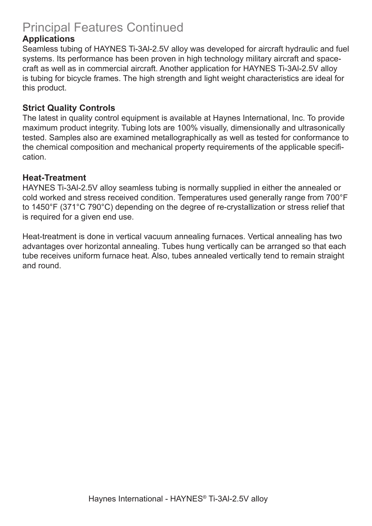### Principal Features Continued

#### **Applications**

Seamless tubing of HAYNES Ti-3Al-2.5V alloy was developed for aircraft hydraulic and fuel systems. Its performance has been proven in high technology military aircraft and spacecraft as well as in commercial aircraft. Another application for HAYNES Ti-3Al-2.5V alloy is tubing for bicycle frames. The high strength and light weight characteristics are ideal for this product.

#### **Strict Quality Controls**

The latest in quality control equipment is available at Haynes International, Inc. To provide maximum product integrity. Tubing lots are 100% visually, dimensionally and ultrasonically tested. Samples also are examined metallographically as well as tested for conformance to the chemical composition and mechanical property requirements of the applicable specification.

#### **Heat-Treatment**

HAYNES Ti-3Al-2.5V alloy seamless tubing is normally supplied in either the annealed or cold worked and stress received condition. Temperatures used generally range from 700°F to 1450°F (371°C 790°C) depending on the degree of re-crystallization or stress relief that is required for a given end use.

Heat-treatment is done in vertical vacuum annealing furnaces. Vertical annealing has two advantages over horizontal annealing. Tubes hung vertically can be arranged so that each tube receives uniform furnace heat. Also, tubes annealed vertically tend to remain straight and round.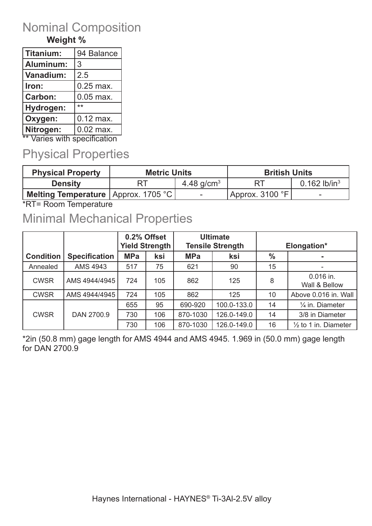### Nominal Composition

### **Weight %**

| 94 Balance  |
|-------------|
|             |
|             |
|             |
| 0.25 max.   |
| $0.05$ max. |
|             |
| $0.12$ max. |
| $0.02$ max. |
|             |

\*\* Varies with specification

### Physical Properties

| <b>Physical Property</b>              | <b>Metric Units</b> |                          | <b>British Units</b>       |                 |
|---------------------------------------|---------------------|--------------------------|----------------------------|-----------------|
| <b>Density</b>                        |                     | 4.48 $q/cm3$             |                            | 0.162 lb/in $3$ |
| Melting Temperature   Approx. 1705 °C |                     | $\overline{\phantom{a}}$ | $\sqrt{4}$ Approx. 3100 °F |                 |

\*RT= Room Temperature

### Minimal Mechanical Properties

|                  |                      | 0.2% Offset<br><b>Yield Strength</b> |     | <b>Ultimate</b><br><b>Tensile Strength</b> |             | Elongation* |                                 |
|------------------|----------------------|--------------------------------------|-----|--------------------------------------------|-------------|-------------|---------------------------------|
| <b>Condition</b> | <b>Specification</b> | <b>MPa</b><br>ksi                    |     | <b>MPa</b><br>ksi                          |             | $\%$        |                                 |
| Annealed         | AMS 4943             | 517                                  | 75  | 621                                        | 90          | 15          |                                 |
| <b>CWSR</b>      | AMS 4944/4945        | 724                                  | 105 | 862                                        | 125         | 8           | 0.016 in.<br>Wall & Bellow      |
| <b>CWSR</b>      | AMS 4944/4945        | 724                                  | 105 | 862                                        | 125         | 10          | Above 0.016 in. Wall            |
|                  |                      | 655                                  | 95  | 690-920                                    | 100.0-133.0 | 14          | 1/ <sub>4</sub> in. Diameter    |
| <b>CWSR</b>      | DAN 2700.9           | 730                                  | 106 | 870-1030                                   | 126.0-149.0 | 14          | 3/8 in Diameter                 |
|                  |                      | 730                                  | 106 | 870-1030                                   | 126.0-149.0 | 16          | $\frac{1}{2}$ to 1 in. Diameter |

\*2in (50.8 mm) gage length for AMS 4944 and AMS 4945. 1.969 in (50.0 mm) gage length for DAN 2700.9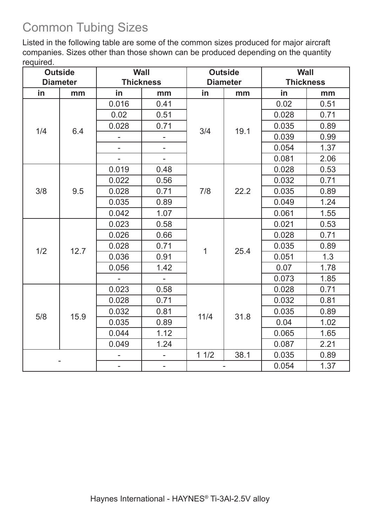# Common Tubing Sizes

Listed in the following table are some of the common sizes produced for major aircraft companies. Sizes other than those shown can be produced depending on the quantity required.

| <b>Outside</b> |                                     | <b>Wall</b>              |                          | <b>Outside</b> |                  | <b>Wall</b> |      |
|----------------|-------------------------------------|--------------------------|--------------------------|----------------|------------------|-------------|------|
|                | <b>Thickness</b><br><b>Diameter</b> |                          | <b>Diameter</b>          |                | <b>Thickness</b> |             |      |
| in             | mm                                  | in                       | mm                       | in             | mm               | in          | mm   |
|                |                                     | 0.016                    | 0.41                     | 3/4            |                  | 0.02        | 0.51 |
|                |                                     | 0.02                     | 0.51                     |                |                  | 0.028       | 0.71 |
| 1/4            | 6.4                                 | 0.028                    | 0.71                     |                | 19.1             | 0.035       | 0.89 |
|                |                                     | $\overline{\phantom{0}}$ | ÷,                       |                |                  | 0.039       | 0.99 |
|                |                                     |                          |                          |                |                  | 0.054       | 1.37 |
|                |                                     | $\overline{\phantom{a}}$ | $\mathbb{L}$             |                |                  | 0.081       | 2.06 |
|                |                                     | 0.019                    | 0.48                     |                |                  | 0.028       | 0.53 |
|                |                                     | 0.022                    | 0.56                     |                |                  | 0.032       | 0.71 |
| 3/8            | 9.5                                 | 0.028                    | 0.71                     | 7/8            | 22.2             | 0.035       | 0.89 |
|                |                                     | 0.035                    | 0.89                     |                |                  | 0.049       | 1.24 |
|                |                                     | 0.042                    | 1.07                     |                |                  | 0.061       | 1.55 |
|                |                                     | 0.023                    | 0.58                     |                |                  | 0.021       | 0.53 |
| 1/2<br>12.7    | 0.026                               | 0.66                     | $\mathbf{1}$             | 25.4           | 0.028            | 0.71        |      |
|                | 0.028                               | 0.71                     |                          |                | 0.035            | 0.89        |      |
|                | 0.036                               | 0.91                     |                          |                | 0.051            | 1.3         |      |
|                | 0.056                               | 1.42                     |                          |                |                  | 0.07        | 1.78 |
|                |                                     | $\blacksquare$           | $\mathbb{L}$             |                |                  | 0.073       | 1.85 |
|                |                                     | 0.023                    | 0.58                     |                |                  | 0.028       | 0.71 |
|                |                                     | 0.028                    | 0.71                     |                |                  | 0.032       | 0.81 |
|                | 15.9                                | 0.032                    | 0.81                     |                | 31.8             | 0.035       | 0.89 |
| 5/8            |                                     | 0.035                    | 0.89                     | 11/4           |                  | 0.04        | 1.02 |
|                |                                     | 0.044                    | 1.12                     |                |                  | 0.065       | 1.65 |
|                |                                     | 0.049                    | 1.24                     |                |                  | 0.087       | 2.21 |
|                |                                     |                          |                          | 11/2           | 38.1             | 0.035       | 0.89 |
|                |                                     | $\overline{\phantom{a}}$ | $\overline{\phantom{a}}$ |                |                  | 0.054       | 1.37 |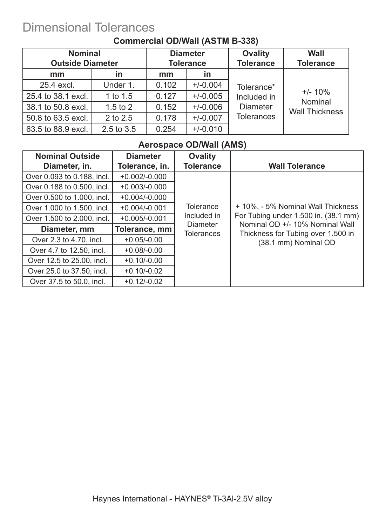## Dimensional Tolerances

|                    | <b>Nominal</b><br><b>Outside Diameter</b> |       | <b>Diameter</b><br><b>Tolerance</b> | <b>Ovality</b><br><b>Tolerance</b> | Wall<br><b>Tolerance</b> |
|--------------------|-------------------------------------------|-------|-------------------------------------|------------------------------------|--------------------------|
| mm                 | <u>in</u>                                 | mm    | in                                  |                                    |                          |
| 25.4 excl.         | Under 1.                                  | 0.102 | $+/-0.004$                          | Tolerance*                         |                          |
| 25.4 to 38.1 excl. | 1 to $1.5$                                | 0.127 | $+/-0.005$                          | Included in                        | $+/- 10\%$<br>Nominal    |
| 38.1 to 50.8 excl. | $1.5$ to $2$                              | 0.152 | $+/-0.006$                          | <b>Diameter</b>                    | <b>Wall Thickness</b>    |
| 50.8 to 63.5 excl. | 2 to 2.5                                  | 0.178 | $+/-0.007$                          | <b>Tolerances</b>                  |                          |
| 63.5 to 88.9 excl. | 2.5 to 3.5                                | 0.254 | $+/-0.010$                          |                                    |                          |

#### **Commercial OD/Wall (ASTM B-338)**

### **Aerospace OD/Wall (AMS)**

| <b>Nominal Outside</b><br>Diameter, in. | <b>Diameter</b><br>Tolerance, in. | <b>Ovality</b><br><b>Tolerance</b>   | <b>Wall Tolerance</b>                                                 |
|-----------------------------------------|-----------------------------------|--------------------------------------|-----------------------------------------------------------------------|
| Over 0.093 to 0.188, incl.              | $+0.002/-0.000$                   |                                      |                                                                       |
| Over 0.188 to 0.500, incl.              | $+0.003/-0.000$                   |                                      |                                                                       |
| Over 0.500 to 1.000, incl.              | $+0.004/-0.000$                   |                                      |                                                                       |
| Over 1.000 to 1.500, incl.              | $+0.004/-0.001$                   | <b>Tolerance</b>                     | + 10%, - 5% Nominal Wall Thickness                                    |
| Over 1.500 to 2.000, incl.              | $+0.005/-0.001$                   | Included in                          | For Tubing under 1.500 in. (38.1 mm)                                  |
| Diameter, mm                            | Tolerance, mm                     | <b>Diameter</b><br><b>Tolerances</b> | Nominal OD +/- 10% Nominal Wall<br>Thickness for Tubing over 1.500 in |
| Over 2.3 to 4.70, incl.                 | $+0.05/-0.00$                     |                                      | (38.1 mm) Nominal OD                                                  |
| Over 4.7 to 12.50, incl.                | $+0.08/-0.00$                     |                                      |                                                                       |
| Over 12.5 to 25.00, incl.               | $+0.10/-0.00$                     |                                      |                                                                       |
| Over 25.0 to 37.50, incl.               | $+0.10/-0.02$                     |                                      |                                                                       |
| Over 37.5 to 50.0, incl.                | $+0.12/-0.02$                     |                                      |                                                                       |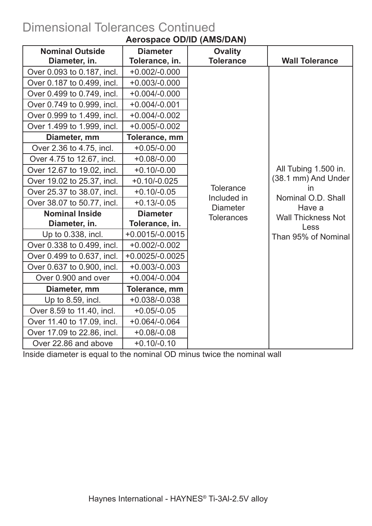# Dimensional Tolerances Continued

| <b>Nominal Outside</b>     | <b>Diameter</b>   | <b>Ovality</b>                  |                           |
|----------------------------|-------------------|---------------------------------|---------------------------|
| Diameter, in.              | Tolerance, in.    | <b>Tolerance</b>                | <b>Wall Tolerance</b>     |
| Over 0.093 to 0.187, incl. | $+0.002/-0.000$   |                                 |                           |
| Over 0.187 to 0.499, incl. | $+0.003/-0.000$   |                                 |                           |
| Over 0.499 to 0.749, incl. | $+0.004/-0.000$   |                                 |                           |
| Over 0.749 to 0.999, incl. | $+0.004/-0.001$   |                                 |                           |
| Over 0.999 to 1.499, incl. | $+0.004/-0.002$   |                                 |                           |
| Over 1.499 to 1.999, incl. | $+0.005/-0.002$   |                                 |                           |
| Diameter, mm               | Tolerance, mm     |                                 |                           |
| Over 2.36 to 4.75, incl.   | $+0.05/-0.00$     |                                 |                           |
| Over 4.75 to 12.67, incl.  | $+0.08/-0.00$     |                                 |                           |
| Over 12.67 to 19.02, incl. | $+0.10/-0.00$     |                                 | All Tubing 1.500 in.      |
| Over 19.02 to 25.37, incl. | $+0.10/-0.025$    |                                 | (38.1 mm) And Under       |
| Over 25.37 to 38.07, incl. | $+0.10/-0.05$     | <b>Tolerance</b><br>Included in | in<br>Nominal O.D. Shall  |
| Over 38.07 to 50.77, incl. | $+0.13/-0.05$     | <b>Diameter</b>                 | Have a                    |
| <b>Nominal Inside</b>      | <b>Diameter</b>   | <b>Tolerances</b>               | <b>Wall Thickness Not</b> |
| Diameter, in.              | Tolerance, in.    |                                 | Less                      |
| Up to 0.338, incl.         | $+0.0015/-0.0015$ |                                 | Than 95% of Nominal       |
| Over 0.338 to 0.499, incl. | $+0.002/-0.002$   |                                 |                           |
| Over 0.499 to 0.637, incl. | $+0.0025/-0.0025$ |                                 |                           |
| Over 0.637 to 0.900, incl. | $+0.003/-0.003$   |                                 |                           |
| Over 0.900 and over        | $+0.004/-0.004$   |                                 |                           |
| Diameter, mm               | Tolerance, mm     |                                 |                           |
| Up to 8.59, incl.          | $+0.038/-0.038$   |                                 |                           |
| Over 8.59 to 11.40, incl.  | $+0.05/-0.05$     |                                 |                           |
| Over 11.40 to 17.09, incl. | $+0.064/-0.064$   |                                 |                           |
| Over 17.09 to 22.86, incl. | $+0.08/-0.08$     |                                 |                           |
| Over 22.86 and above       | $+0.10/-0.10$     |                                 |                           |

### **Aerospace OD/ID (AMS/DAN)**

Inside diameter is equal to the nominal OD minus twice the nominal wall